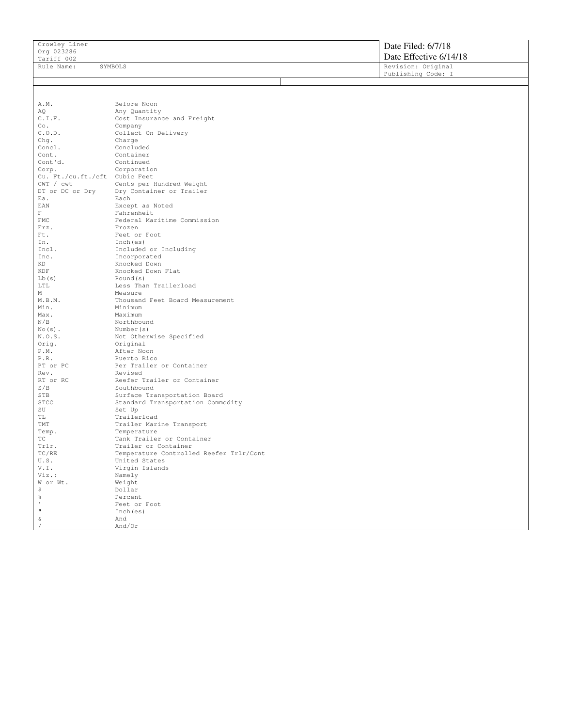| Tariff 002 | Date Effective 6/14/18 |
|------------|------------------------|
| Rule Name: | Revision: Original     |
| SYMBOLS    | Publishing Code: I     |

A.M. Before Noon<br>AQ Any Quantity AQ Any Quantity<br>C.I.F. Cost Insuran C.I.F. Cost Insurance and Freight<br>Co. Company Co. Company<br>C.O.D. Collect C.O.D. Collect On Delivery<br>Charge Charge Chg. Charge Concl. Charge Concl. Concluded<br>Cont. Container Cont. Container<br>Cont'd. Continued Cont'd. Continued<br>Corp. Corporati Corporation Cu. Ft./cu.ft./cft Cubic Feet<br>CWT / cwt Cents per CWT / cwt Cents per Hundred Weight<br>DT or DC or Dry Dry Container or Trailer DT or DC or Dry Ury Container or Trailer<br>Ea. Each Ea. Each<br>EAN Excep Except as Noted F<br>FMC Fahrenheit<br>Federal Mai FMC Federal Maritime Commission<br>Frz. Frozen Frz. Frozen<br>Ft. Feet o Ft. Feet or Foot<br>
In. Inch(es) In. Inch (es)<br>Incl. Included Incl. Included or Including<br>Inc. Incorporated Inc. The Incorporated KD KD Knocked Down KD<br>Knocked Down<br>Knocked Down KDF Knocked Down Flat<br>
Lb(s) Pound(s) Lb(s) Pound(s)<br>LTL Less Tha LTL Less Than Trailerload<br>
Measure M<br>
M.B.M.<br>
Thousan M.B.M. Thousand Feet Board Measurement<br>Min. Minimum Min.<br>Max. Maximum Max. Maximum<br>N/B Northbor N/B Northbound<br>No(s). Number(s) No(s). Number(s)<br>N.O.S. Not Other N.O.S. Not Otherwise Specified<br>Orig. 0riginal Orig. Original<br>P.M. After Noo P.M. After Noon<br>P.R. Puerto Ric P.R. Puerto Rico<br>PT or PC Per Trailer PT or PC Per Trailer or Container<br>Rev. Revised Rev. Revised RT or RC Reefer Trailer or Container<br>
S/B Southbound S/B Southbound<br>STB Surface Tra STB Surface Transportation Board<br>Standard Transportation Common STCC Standard Transportation Commodity<br>SU Set Up SU Set Up<br>TL Trailer TL Trailerload<br>TMT Trailer Mar: TMT Trailer Marine Transport<br>Temp. Temperature Temp. Temperature<br>TC Tank Trailer TC Tank Trailer or Container<br>Trlr. Trailer or Container Trlr. Trailer or Container<br>TC/RE Temperature Controlle TC/RE Temperature Controlled Reefer Trlr/Cont<br>U.S. United States U.S. United States<br>V.I. Virgin Islands V.I. Virgin Islands<br>Viz.: Namely Namely W or Wt. Weight<br>\$ Dollar \$<br>% Dollar<br>Percen % Percent<br>
Percent<br>
Peat or ' Feet or Foot  $\begin{array}{cc} \texttt{m} & \texttt{Inch}(\texttt{es}) \\ \texttt{\&} & \texttt{And} \end{array}$ & And / And/Or